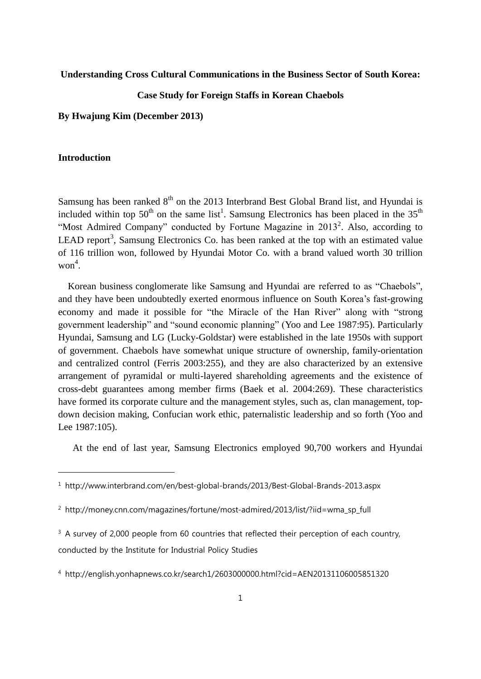## **Understanding Cross Cultural Communications in the Business Sector of South Korea:**

# **Case Study for Foreign Staffs in Korean Chaebols**

**By Hwajung Kim (December 2013)**

### **Introduction**

-

Samsung has been ranked 8<sup>th</sup> on the 2013 Interbrand Best Global Brand list, and Hyundai is included within top  $50<sup>th</sup>$  on the same list<sup>1</sup>. Samsung Electronics has been placed in the  $35<sup>th</sup>$ "Most Admired Company" conducted by Fortune Magazine in  $2013^2$ . Also, according to LEAD report<sup>3</sup>, Samsung Electronics Co. has been ranked at the top with an estimated value of 116 trillion won, followed by Hyundai Motor Co. with a brand valued worth 30 trillion won 4 .

Korean business conglomerate like Samsung and Hyundai are referred to as "Chaebols", and they have been undoubtedly exerted enormous influence on South Korea's fast-growing economy and made it possible for "the Miracle of the Han River" along with "strong government leadership" and "sound economic planning" (Yoo and Lee 1987:95). Particularly Hyundai, Samsung and LG (Lucky-Goldstar) were established in the late 1950s with support of government. Chaebols have somewhat unique structure of ownership, family-orientation and centralized control (Ferris 2003:255), and they are also characterized by an extensive arrangement of pyramidal or multi-layered shareholding agreements and the existence of cross-debt guarantees among member firms (Baek et al. 2004:269). These characteristics have formed its corporate culture and the management styles, such as, clan management, topdown decision making, Confucian work ethic, paternalistic leadership and so forth (Yoo and Lee 1987:105).

At the end of last year, Samsung Electronics employed 90,700 workers and Hyundai

<sup>1</sup> http://www.interbrand.com/en/best-global-brands/2013/Best-Global-Brands-2013.aspx

<sup>&</sup>lt;sup>2</sup> http://money.cnn.com/magazines/fortune/most-admired/2013/list/?iid=wma\_sp\_full

 $3$  A survey of 2,000 people from 60 countries that reflected their perception of each country, conducted by the Institute for Industrial Policy Studies

<sup>4</sup> http://english.yonhapnews.co.kr/search1/2603000000.html?cid=AEN20131106005851320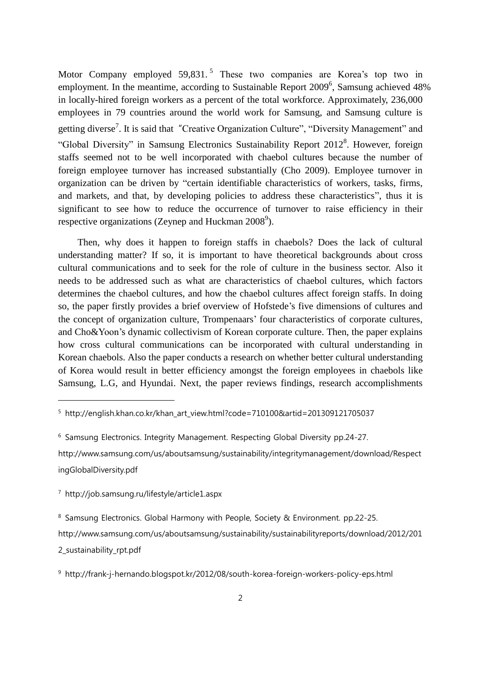Motor Company employed 59,831.<sup>5</sup> These two companies are Korea's top two in employment. In the meantime, according to Sustainable Report 2009<sup>6</sup>, Samsung achieved 48% in locally-hired foreign workers as a percent of the total workforce. Approximately, 236,000 employees in 79 countries around the world work for Samsung, and Samsung culture is getting diverse<sup>7</sup>. It is said that "Creative Organization Culture", "Diversity Management" and "Global Diversity" in Samsung Electronics Sustainability Report 2012<sup>8</sup>. However, foreign staffs seemed not to be well incorporated with chaebol cultures because the number of foreign employee turnover has increased substantially (Cho 2009). Employee turnover in organization can be driven by "certain identifiable characteristics of workers, tasks, firms, and markets, and that, by developing policies to address these characteristics", thus it is significant to see how to reduce the occurrence of turnover to raise efficiency in their respective organizations (Zeynep and Huckman  $2008^9$ ).

Then, why does it happen to foreign staffs in chaebols? Does the lack of cultural understanding matter? If so, it is important to have theoretical backgrounds about cross cultural communications and to seek for the role of culture in the business sector. Also it needs to be addressed such as what are characteristics of chaebol cultures, which factors determines the chaebol cultures, and how the chaebol cultures affect foreign staffs. In doing so, the paper firstly provides a brief overview of Hofstede's five dimensions of cultures and the concept of organization culture, Trompenaars' four characteristics of corporate cultures, and Cho&Yoon's dynamic collectivism of Korean corporate culture. Then, the paper explains how cross cultural communications can be incorporated with cultural understanding in Korean chaebols. Also the paper conducts a research on whether better cultural understanding of Korea would result in better efficiency amongst the foreign employees in chaebols like Samsung, L.G, and Hyundai. Next, the paper reviews findings, research accomplishments

<sup>6</sup> Samsung Electronics. Integrity Management. Respecting Global Diversity pp.24-27.

http://www.samsung.com/us/aboutsamsung/sustainability/integritymanagement/download/Respect ingGlobalDiversity.pdf

<sup>7</sup> http://job.samsung.ru/lifestyle/article1.aspx

-

<sup>8</sup> Samsung Electronics. Global Harmony with People, Society & Environment. pp.22-25.

http://www.samsung.com/us/aboutsamsung/sustainability/sustainabilityreports/download/2012/201 2\_sustainability\_rpt.pdf

<sup>&</sup>lt;sup>5</sup> http://english.khan.co.kr/khan\_art\_view.html?code=710100&artid=201309121705037

<sup>9</sup> http://frank-j-hernando.blogspot.kr/2012/08/south-korea-foreign-workers-policy-eps.html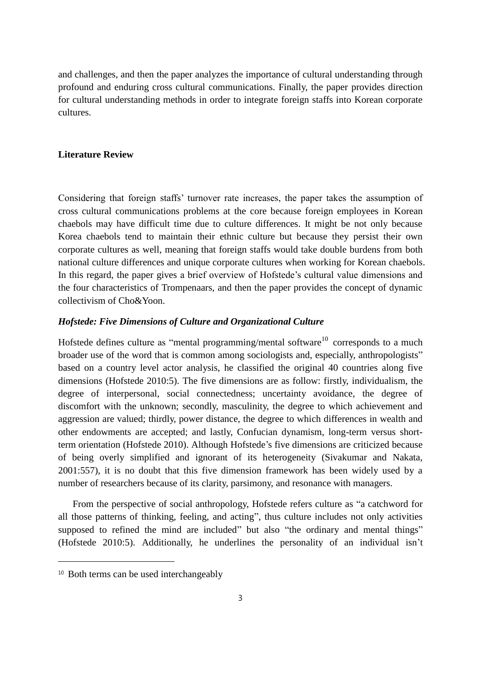and challenges, and then the paper analyzes the importance of cultural understanding through profound and enduring cross cultural communications. Finally, the paper provides direction for cultural understanding methods in order to integrate foreign staffs into Korean corporate cultures.

# **Literature Review**

Considering that foreign staffs' turnover rate increases, the paper takes the assumption of cross cultural communications problems at the core because foreign employees in Korean chaebols may have difficult time due to culture differences. It might be not only because Korea chaebols tend to maintain their ethnic culture but because they persist their own corporate cultures as well, meaning that foreign staffs would take double burdens from both national culture differences and unique corporate cultures when working for Korean chaebols. In this regard, the paper gives a brief overview of Hofstede's cultural value dimensions and the four characteristics of Trompenaars, and then the paper provides the concept of dynamic collectivism of Cho&Yoon.

### *Hofstede: Five Dimensions of Culture and Organizational Culture*

Hofstede defines culture as "mental programming/mental software<sup>10</sup> corresponds to a much broader use of the word that is common among sociologists and, especially, anthropologists" based on a country level actor analysis, he classified the original 40 countries along five dimensions (Hofstede 2010:5). The five dimensions are as follow: firstly, individualism, the degree of interpersonal, social connectedness; uncertainty avoidance, the degree of discomfort with the unknown; secondly, masculinity, the degree to which achievement and aggression are valued; thirdly, power distance, the degree to which differences in wealth and other endowments are accepted; and lastly, Confucian dynamism, long-term versus shortterm orientation (Hofstede 2010). Although Hofstede's five dimensions are criticized because of being overly simplified and ignorant of its heterogeneity (Sivakumar and Nakata, 2001:557), it is no doubt that this five dimension framework has been widely used by a number of researchers because of its clarity, parsimony, and resonance with managers.

 From the perspective of social anthropology, Hofstede refers culture as "a catchword for all those patterns of thinking, feeling, and acting", thus culture includes not only activities supposed to refined the mind are included" but also "the ordinary and mental things" (Hofstede 2010:5). Additionally, he underlines the personality of an individual isn't

-

<sup>&</sup>lt;sup>10</sup> Both terms can be used interchangeably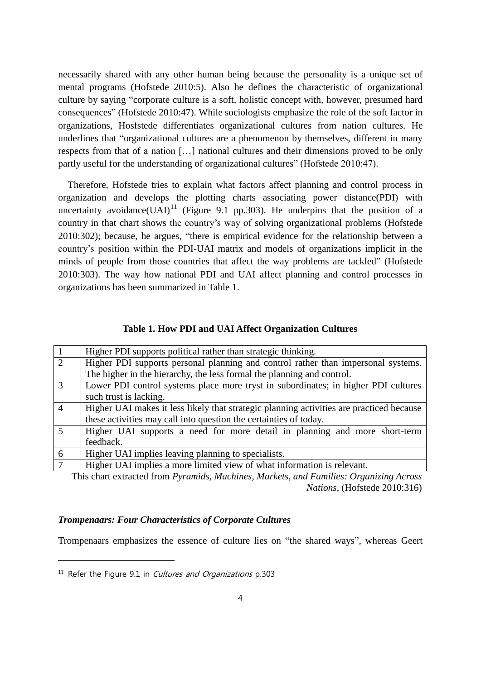necessarily shared with any other human being because the personality is a unique set of mental programs (Hofstede 2010:5). Also he defines the characteristic of organizational culture by saying "corporate culture is a soft, holistic concept with, however, presumed hard consequences" (Hofstede 2010:47). While sociologists emphasize the role of the soft factor in organizations, Hosfstede differentiates organizational cultures from nation cultures. He underlines that "organizational cultures are a phenomenon by themselves, different in many respects from that of a nation […] national cultures and their dimensions proved to be only partly useful for the understanding of organizational cultures" (Hofstede 2010:47).

Therefore, Hofstede tries to explain what factors affect planning and control process in organization and develops the plotting charts associating power distance(PDI) with uncertainty avoidance(UAI)<sup>11</sup> (Figure 9.1 pp.303). He underpins that the position of a country in that chart shows the country's way of solving organizational problems (Hofstede 2010:302); because, he argues, "there is empirical evidence for the relationship between a country's position within the PDI-UAI matrix and models of organizations implicit in the minds of people from those countries that affect the way problems are tackled" (Hofstede 2010:303). The way how national PDI and UAI affect planning and control processes in organizations has been summarized in Table 1.

# **Table 1. How PDI and UAI Affect Organization Cultures**

| $\overline{1}$ | Higher PDI supports political rather than strategic thinking.                            |
|----------------|------------------------------------------------------------------------------------------|
| $\overline{2}$ | Higher PDI supports personal planning and control rather than impersonal systems.        |
|                | The higher in the hierarchy, the less formal the planning and control.                   |
| $\overline{3}$ | Lower PDI control systems place more tryst in subordinates; in higher PDI cultures       |
|                | such trust is lacking.                                                                   |
| $\overline{4}$ | Higher UAI makes it less likely that strategic planning activities are practiced because |
|                | these activities may call into question the certainties of today.                        |
| 5              | Higher UAI supports a need for more detail in planning and more short-term               |
|                | feedback.                                                                                |
| 6              | Higher UAI implies leaving planning to specialists.                                      |
| $\tau$         | Higher UAI implies a more limited view of what information is relevant.                  |

This chart extracted from *Pyramids, Machines, Markets, and Families: Organizing Across Nations*, (Hofstede 2010:316)

## *Trompenaars: Four Characteristics of Corporate Cultures*

Trompenaars emphasizes the essence of culture lies on "the shared ways", whereas Geert

-

 $11$  Refer the Figure 9.1 in *Cultures and Organizations* p.303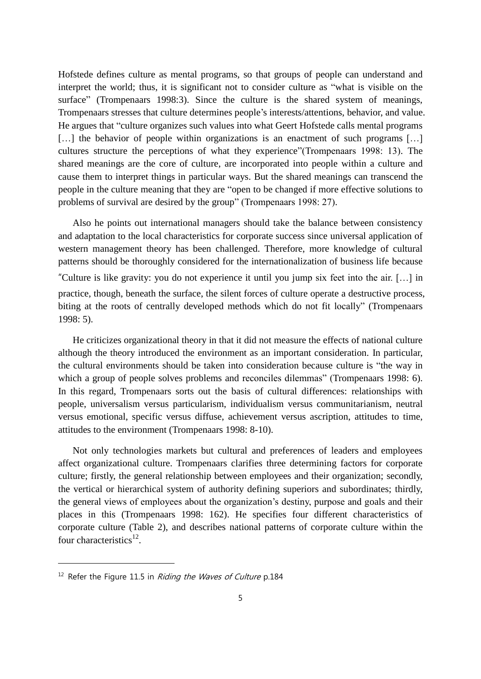Hofstede defines culture as mental programs, so that groups of people can understand and interpret the world; thus, it is significant not to consider culture as "what is visible on the surface" (Trompenaars 1998:3). Since the culture is the shared system of meanings, Trompenaars stresses that culture determines people's interests/attentions, behavior, and value. He argues that "culture organizes such values into what Geert Hofstede calls mental programs [...] the behavior of people within organizations is an enactment of such programs [...] cultures structure the perceptions of what they experience"(Trompenaars 1998: 13). The shared meanings are the core of culture, are incorporated into people within a culture and cause them to interpret things in particular ways. But the shared meanings can transcend the people in the culture meaning that they are "open to be changed if more effective solutions to problems of survival are desired by the group" (Trompenaars 1998: 27).

Also he points out international managers should take the balance between consistency and adaptation to the local characteristics for corporate success since universal application of western management theory has been challenged. Therefore, more knowledge of cultural patterns should be thoroughly considered for the internationalization of business life because "Culture is like gravity: you do not experience it until you jump six feet into the air. […] in practice, though, beneath the surface, the silent forces of culture operate a destructive process, biting at the roots of centrally developed methods which do not fit locally" (Trompenaars 1998: 5).

 He criticizes organizational theory in that it did not measure the effects of national culture although the theory introduced the environment as an important consideration. In particular, the cultural environments should be taken into consideration because culture is "the way in which a group of people solves problems and reconciles dilemmas" (Trompenaars 1998: 6). In this regard, Trompenaars sorts out the basis of cultural differences: relationships with people, universalism versus particularism, individualism versus communitarianism, neutral versus emotional, specific versus diffuse, achievement versus ascription, attitudes to time, attitudes to the environment (Trompenaars 1998: 8-10).

Not only technologies markets but cultural and preferences of leaders and employees affect organizational culture. Trompenaars clarifies three determining factors for corporate culture; firstly, the general relationship between employees and their organization; secondly, the vertical or hierarchical system of authority defining superiors and subordinates; thirdly, the general views of employees about the organization's destiny, purpose and goals and their places in this (Trompenaars 1998: 162). He specifies four different characteristics of corporate culture (Table 2), and describes national patterns of corporate culture within the four characteristics $^{12}$ .

-

<sup>&</sup>lt;sup>12</sup> Refer the Figure 11.5 in *Riding the Waves of Culture* p.184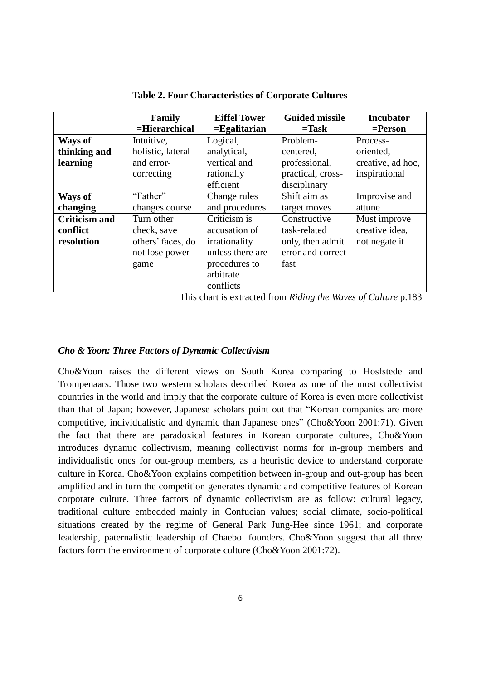|                      | Family            | <b>Eiffel Tower</b> | <b>Guided missile</b>         | <b>Incubator</b>                      |
|----------------------|-------------------|---------------------|-------------------------------|---------------------------------------|
|                      | $=$ Hierarchical  | $=$ Egalitarian     | $=$ Task                      | $=$ <b>Person</b>                     |
| Ways of              | Intuitive,        | Logical,            | Problem-                      | Process-                              |
| thinking and         | holistic, lateral | analytical,         | centered,                     | oriented,                             |
| learning             | and error-        | vertical and        | professional,                 | creative, ad hoc,                     |
|                      | correcting        | rationally          | practical, cross-             | inspirational                         |
|                      |                   | efficient           | disciplinary                  |                                       |
| <b>Ways of</b>       | "Father"          | Change rules        | Shift aim as                  | Improvise and                         |
| changing             | changes course    | and procedures      | target moves                  | attune                                |
| <b>Criticism and</b> | Turn other        | Criticism is        | Constructive                  | Must improve                          |
| conflict             | check, save       | accusation of       | task-related                  | creative idea,                        |
| resolution           | others' faces, do | irrationality       | only, then admit              | not negate it                         |
|                      | not lose power    | unless there are    | error and correct             |                                       |
|                      | game              | procedures to       | fast                          |                                       |
|                      |                   | arbitrate           |                               |                                       |
|                      |                   | conflicts<br>$\sim$ | $\mathbf{r}$ . $\mathbf{r}$ . | $\sim$ $\sim$ $\sim$<br>$\sim$ $\sim$ |

**Table 2. Four Characteristics of Corporate Cultures**

This chart is extracted from *Riding the Waves of Culture* p.183

# *Cho & Yoon: Three Factors of Dynamic Collectivism*

Cho&Yoon raises the different views on South Korea comparing to Hosfstede and Trompenaars. Those two western scholars described Korea as one of the most collectivist countries in the world and imply that the corporate culture of Korea is even more collectivist than that of Japan; however, Japanese scholars point out that "Korean companies are more competitive, individualistic and dynamic than Japanese ones" (Cho&Yoon 2001:71). Given the fact that there are paradoxical features in Korean corporate cultures, Cho&Yoon introduces dynamic collectivism, meaning collectivist norms for in-group members and individualistic ones for out-group members, as a heuristic device to understand corporate culture in Korea. Cho&Yoon explains competition between in-group and out-group has been amplified and in turn the competition generates dynamic and competitive features of Korean corporate culture. Three factors of dynamic collectivism are as follow: cultural legacy, traditional culture embedded mainly in Confucian values; social climate, socio-political situations created by the regime of General Park Jung-Hee since 1961; and corporate leadership, paternalistic leadership of Chaebol founders. Cho&Yoon suggest that all three factors form the environment of corporate culture (Cho&Yoon 2001:72).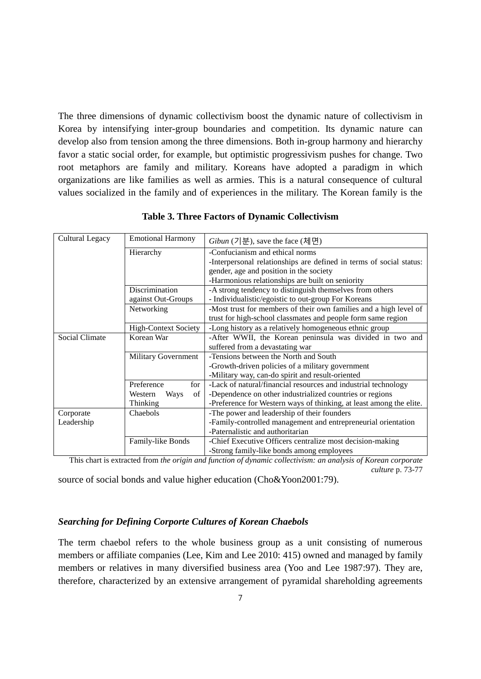The three dimensions of dynamic collectivism boost the dynamic nature of collectivism in Korea by intensifying inter-group boundaries and competition. Its dynamic nature can develop also from tension among the three dimensions. Both in-group harmony and hierarchy favor a static social order, for example, but optimistic progressivism pushes for change. Two root metaphors are family and military. Koreans have adopted a paradigm in which organizations are like families as well as armies. This is a natural consequence of cultural values socialized in the family and of experiences in the military. The Korean family is the

| Cultural Legacy       | <b>Emotional Harmony</b>    | Gibun $(7 \Xi)$ , save the face $(\overline{1} \Theta)$             |  |
|-----------------------|-----------------------------|---------------------------------------------------------------------|--|
|                       | Hierarchy                   | -Confucianism and ethical norms                                     |  |
|                       |                             | -Interpersonal relationships are defined in terms of social status: |  |
|                       |                             | gender, age and position in the society                             |  |
|                       |                             | -Harmonious relationships are built on seniority                    |  |
|                       | Discrimination              | -A strong tendency to distinguish themselves from others            |  |
|                       | against Out-Groups          | - Individualistic/egoistic to out-group For Koreans                 |  |
|                       | Networking                  | -Most trust for members of their own families and a high level of   |  |
|                       |                             | trust for high-school classmates and people form same region        |  |
|                       | <b>High-Context Society</b> | -Long history as a relatively homogeneous ethnic group              |  |
| <b>Social Climate</b> | Korean War                  | -After WWII, the Korean peninsula was divided in two and            |  |
|                       |                             | suffered from a devastating war                                     |  |
|                       | <b>Military Government</b>  | -Tensions between the North and South                               |  |
|                       |                             | -Growth-driven policies of a military government                    |  |
|                       |                             | -Military way, can-do spirit and result-oriented                    |  |
|                       | Preference<br>for           | -Lack of natural/financial resources and industrial technology      |  |
|                       | Ways<br>of<br>Western       | -Dependence on other industrialized countries or regions            |  |
|                       | Thinking                    | -Preference for Western ways of thinking, at least among the elite. |  |
| Corporate             | Chaebols                    | -The power and leadership of their founders                         |  |
| Leadership            |                             | -Family-controlled management and entrepreneurial orientation       |  |
|                       |                             | -Paternalistic and authoritarian                                    |  |
|                       | Family-like Bonds           | -Chief Executive Officers centralize most decision-making           |  |
|                       |                             | -Strong family-like bonds among employees                           |  |

**Table 3. Three Factors of Dynamic Collectivism**

This chart is extracted from *the origin and function of dynamic collectivism: an analysis of Korean corporate culture* p. 73-77

source of social bonds and value higher education (Cho&Yoon2001:79).

# *Searching for Defining Corporte Cultures of Korean Chaebols*

The term chaebol refers to the whole business group as a unit consisting of numerous members or affiliate companies (Lee, Kim and Lee 2010: 415) owned and managed by family members or relatives in many diversified business area (Yoo and Lee 1987:97). They are, therefore, characterized by an extensive arrangement of pyramidal shareholding agreements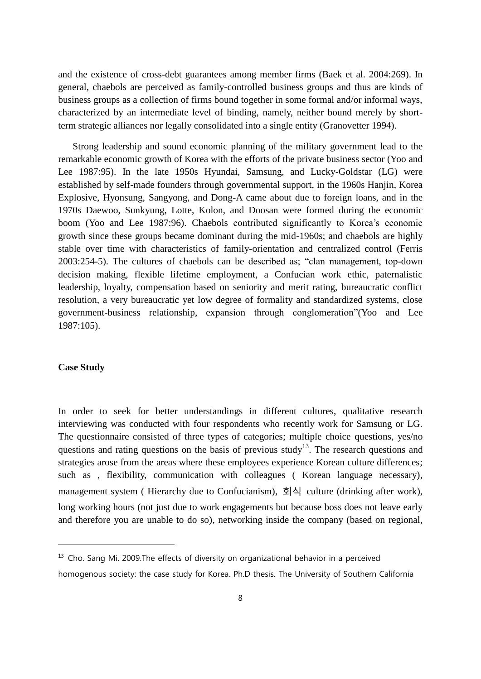and the existence of cross-debt guarantees among member firms (Baek et al. 2004:269). In general, chaebols are perceived as family-controlled business groups and thus are kinds of business groups as a collection of firms bound together in some formal and/or informal ways, characterized by an intermediate level of binding, namely, neither bound merely by shortterm strategic alliances nor legally consolidated into a single entity (Granovetter 1994).

 Strong leadership and sound economic planning of the military government lead to the remarkable economic growth of Korea with the efforts of the private business sector (Yoo and Lee 1987:95). In the late 1950s Hyundai, Samsung, and Lucky-Goldstar (LG) were established by self-made founders through governmental support, in the 1960s Hanjin, Korea Explosive, Hyonsung, Sangyong, and Dong-A came about due to foreign loans, and in the 1970s Daewoo, Sunkyung, Lotte, Kolon, and Doosan were formed during the economic boom (Yoo and Lee 1987:96). Chaebols contributed significantly to Korea's economic growth since these groups became dominant during the mid-1960s; and chaebols are highly stable over time with characteristics of family-orientation and centralized control (Ferris 2003:254-5). The cultures of chaebols can be described as; "clan management, top-down decision making, flexible lifetime employment, a Confucian work ethic, paternalistic leadership, loyalty, compensation based on seniority and merit rating, bureaucratic conflict resolution, a very bureaucratic yet low degree of formality and standardized systems, close government-business relationship, expansion through conglomeration"(Yoo and Lee 1987:105).

# **Case Study**

-

In order to seek for better understandings in different cultures, qualitative research interviewing was conducted with four respondents who recently work for Samsung or LG. The questionnaire consisted of three types of categories; multiple choice questions, yes/no questions and rating questions on the basis of previous study<sup>13</sup>. The research questions and strategies arose from the areas where these employees experience Korean culture differences; such as , flexibility, communication with colleagues ( Korean language necessary), management system ( Hierarchy due to Confucianism), 회식 culture (drinking after work), long working hours (not just due to work engagements but because boss does not leave early and therefore you are unable to do so), networking inside the company (based on regional,

<sup>&</sup>lt;sup>13</sup> Cho. Sang Mi. 2009. The effects of diversity on organizational behavior in a perceived homogenous society: the case study for Korea. Ph.D thesis. The University of Southern California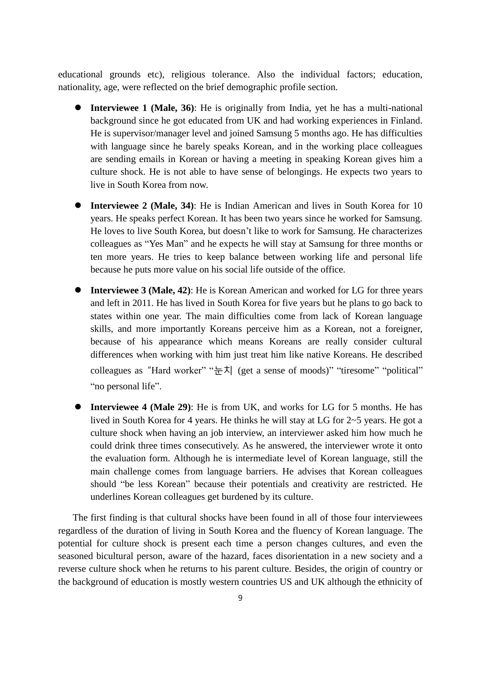educational grounds etc), religious tolerance. Also the individual factors; education, nationality, age, were reflected on the brief demographic profile section.

- **Interviewee 1 (Male, 36)**: He is originally from India, yet he has a multi-national background since he got educated from UK and had working experiences in Finland. He is supervisor/manager level and joined Samsung 5 months ago. He has difficulties with language since he barely speaks Korean, and in the working place colleagues are sending emails in Korean or having a meeting in speaking Korean gives him a culture shock. He is not able to have sense of belongings. He expects two years to live in South Korea from now.
- **Interviewee 2 (Male, 34)**: He is Indian American and lives in South Korea for 10 years. He speaks perfect Korean. It has been two years since he worked for Samsung. He loves to live South Korea, but doesn't like to work for Samsung. He characterizes colleagues as "Yes Man" and he expects he will stay at Samsung for three months or ten more years. He tries to keep balance between working life and personal life because he puts more value on his social life outside of the office.
- **Interviewee 3 (Male, 42)**: He is Korean American and worked for LG for three years and left in 2011. He has lived in South Korea for five years but he plans to go back to states within one year. The main difficulties come from lack of Korean language skills, and more importantly Koreans perceive him as a Korean, not a foreigner, because of his appearance which means Koreans are really consider cultural differences when working with him just treat him like native Koreans. He described colleagues as "Hard worker" " $\frac{1}{k}$  $\frac{1}{k}$  (get a sense of moods)" "tiresome" "political" "no personal life".
- **Interviewee 4 (Male 29)**: He is from UK, and works for LG for 5 months. He has lived in South Korea for 4 years. He thinks he will stay at LG for 2~5 years. He got a culture shock when having an job interview, an interviewer asked him how much he could drink three times consecutively. As he answered, the interviewer wrote it onto the evaluation form. Although he is intermediate level of Korean language, still the main challenge comes from language barriers. He advises that Korean colleagues should "be less Korean" because their potentials and creativity are restricted. He underlines Korean colleagues get burdened by its culture.

The first finding is that cultural shocks have been found in all of those four interviewees regardless of the duration of living in South Korea and the fluency of Korean language. The potential for culture shock is present each time a person changes cultures, and even the seasoned bicultural person, aware of the hazard, faces disorientation in a new society and a reverse culture shock when he returns to his parent culture. Besides, the origin of country or the background of education is mostly western countries US and UK although the ethnicity of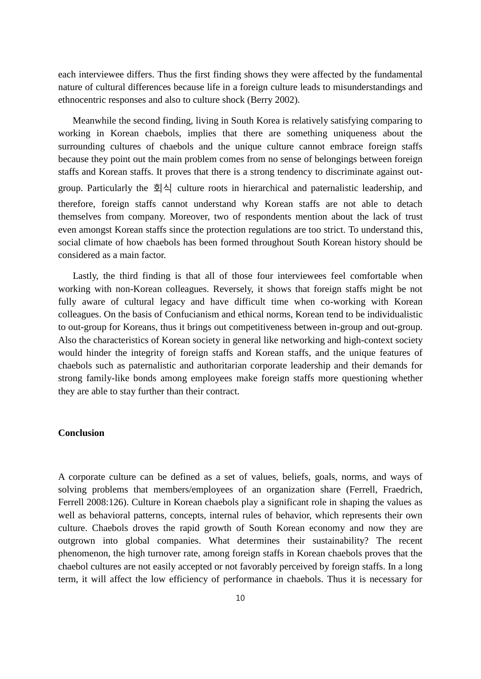each interviewee differs. Thus the first finding shows they were affected by the fundamental nature of cultural differences because life in a foreign culture leads to misunderstandings and ethnocentric responses and also to culture shock (Berry 2002).

Meanwhile the second finding, living in South Korea is relatively satisfying comparing to working in Korean chaebols, implies that there are something uniqueness about the surrounding cultures of chaebols and the unique culture cannot embrace foreign staffs because they point out the main problem comes from no sense of belongings between foreign staffs and Korean staffs. It proves that there is a strong tendency to discriminate against outgroup. Particularly the 회식 culture roots in hierarchical and paternalistic leadership, and therefore, foreign staffs cannot understand why Korean staffs are not able to detach themselves from company. Moreover, two of respondents mention about the lack of trust even amongst Korean staffs since the protection regulations are too strict. To understand this, social climate of how chaebols has been formed throughout South Korean history should be considered as a main factor.

 Lastly, the third finding is that all of those four interviewees feel comfortable when working with non-Korean colleagues. Reversely, it shows that foreign staffs might be not fully aware of cultural legacy and have difficult time when co-working with Korean colleagues. On the basis of Confucianism and ethical norms, Korean tend to be individualistic to out-group for Koreans, thus it brings out competitiveness between in-group and out-group. Also the characteristics of Korean society in general like networking and high-context society would hinder the integrity of foreign staffs and Korean staffs, and the unique features of chaebols such as paternalistic and authoritarian corporate leadership and their demands for strong family-like bonds among employees make foreign staffs more questioning whether they are able to stay further than their contract.

## **Conclusion**

A corporate culture can be defined as a set of values, beliefs, goals, norms, and ways of solving problems that members/employees of an organization share (Ferrell, Fraedrich, Ferrell 2008:126). Culture in Korean chaebols play a significant role in shaping the values as well as behavioral patterns, concepts, internal rules of behavior, which represents their own culture. Chaebols droves the rapid growth of South Korean economy and now they are outgrown into global companies. What determines their sustainability? The recent phenomenon, the high turnover rate, among foreign staffs in Korean chaebols proves that the chaebol cultures are not easily accepted or not favorably perceived by foreign staffs. In a long term, it will affect the low efficiency of performance in chaebols. Thus it is necessary for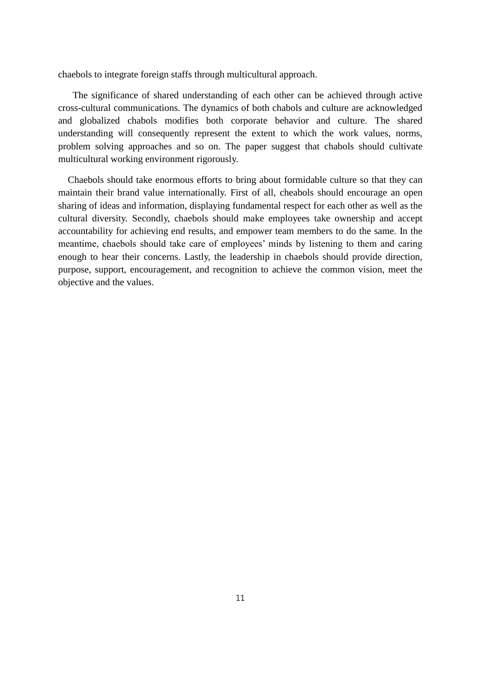chaebols to integrate foreign staffs through multicultural approach.

The significance of shared understanding of each other can be achieved through active cross-cultural communications. The dynamics of both chabols and culture are acknowledged and globalized chabols modifies both corporate behavior and culture. The shared understanding will consequently represent the extent to which the work values, norms, problem solving approaches and so on. The paper suggest that chabols should cultivate multicultural working environment rigorously.

Chaebols should take enormous efforts to bring about formidable culture so that they can maintain their brand value internationally. First of all, cheabols should encourage an open sharing of ideas and information, displaying fundamental respect for each other as well as the cultural diversity. Secondly, chaebols should make employees take ownership and accept accountability for achieving end results, and empower team members to do the same. In the meantime, chaebols should take care of employees' minds by listening to them and caring enough to hear their concerns. Lastly, the leadership in chaebols should provide direction, purpose, support, encouragement, and recognition to achieve the common vision, meet the objective and the values.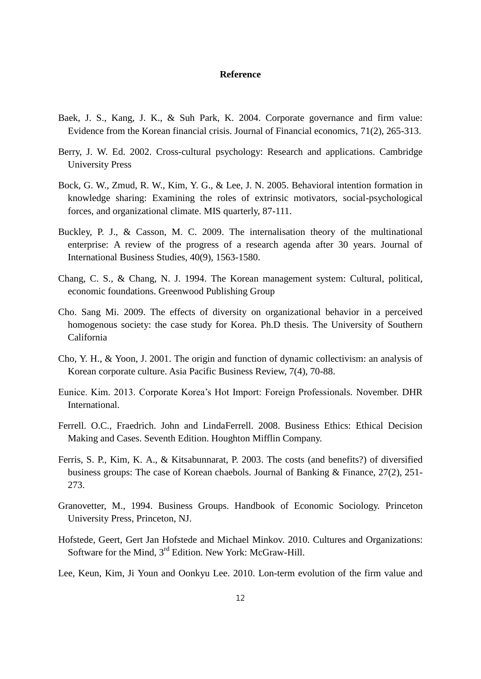### **Reference**

- Baek, J. S., Kang, J. K., & Suh Park, K. 2004. Corporate governance and firm value: Evidence from the Korean financial crisis. Journal of Financial economics, 71(2), 265-313.
- Berry, J. W. Ed. 2002. Cross-cultural psychology: Research and applications. Cambridge University Press
- Bock, G. W., Zmud, R. W., Kim, Y. G., & Lee, J. N. 2005. Behavioral intention formation in knowledge sharing: Examining the roles of extrinsic motivators, social-psychological forces, and organizational climate. MIS quarterly, 87-111.
- Buckley, P. J., & Casson, M. C. 2009. The internalisation theory of the multinational enterprise: A review of the progress of a research agenda after 30 years. Journal of International Business Studies, 40(9), 1563-1580.
- Chang, C. S., & Chang, N. J. 1994. The Korean management system: Cultural, political, economic foundations. Greenwood Publishing Group
- Cho. Sang Mi. 2009. The effects of diversity on organizational behavior in a perceived homogenous society: the case study for Korea. Ph.D thesis. The University of Southern California
- Cho, Y. H., & Yoon, J. 2001. The origin and function of dynamic collectivism: an analysis of Korean corporate culture. Asia Pacific Business Review, 7(4), 70-88.
- Eunice. Kim. 2013. Corporate Korea's Hot Import: Foreign Professionals. November. DHR International.
- Ferrell. O.C., Fraedrich. John and LindaFerrell. 2008. Business Ethics: Ethical Decision Making and Cases. Seventh Edition. Houghton Mifflin Company.
- Ferris, S. P., Kim, K. A., & Kitsabunnarat, P. 2003. The costs (and benefits?) of diversified business groups: The case of Korean chaebols. Journal of Banking & Finance, 27(2), 251- 273.
- Granovetter, M., 1994. Business Groups. Handbook of Economic Sociology. Princeton University Press, Princeton, NJ.
- Hofstede, Geert, Gert Jan Hofstede and Michael Minkov. 2010. Cultures and Organizations: Software for the Mind, 3<sup>rd</sup> Edition. New York: McGraw-Hill.
- Lee, Keun, Kim, Ji Youn and Oonkyu Lee. 2010. Lon-term evolution of the firm value and